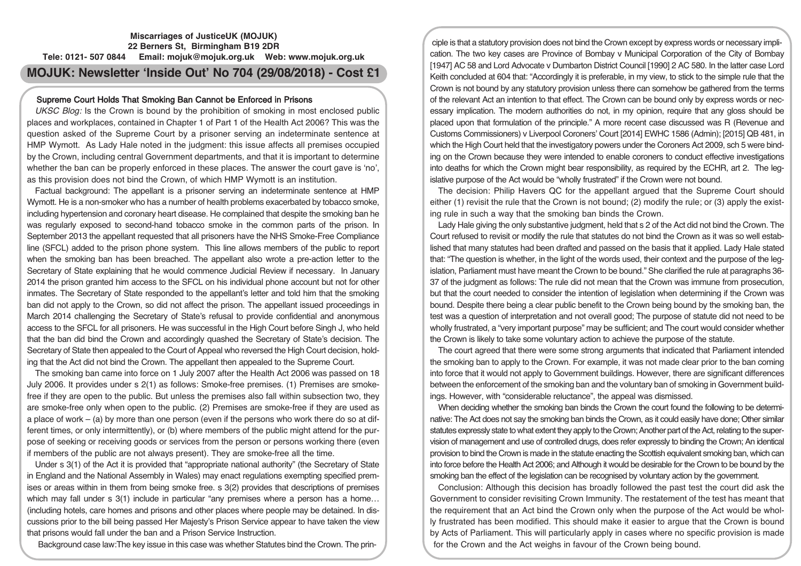# **Miscarriages of JusticeUK (MOJUK) 22 Berners St, Birmingham B19 2DR Tele: 0121- 507 0844 Email: mojuk@mojuk.org.uk Web: www.mojuk.org.uk**

# **MOJUK: Newsletter 'Inside Out' No 704 (29/08/2018) - Cost £1**

# Supreme Court Holds That Smoking Ban Cannot be Enforced in Prisons

UKSC Blog: Is the Crown is bound by the prohibition of smoking in most enclosed public places and workplaces, contained in Chapter 1 of Part 1 of the Health Act 2006? This was the question asked of the Supreme Court by a prisoner serving an indeterminate sentence at HMP Wymott. As Lady Hale noted in the judgment: this issue affects all premises occupied by the Crown, including central Government departments, and that it is important to determine whether the ban can be properly enforced in these places. The answer the court gave is 'no', as this provision does not bind the Crown, of which HMP Wymott is an institution.

Factual background: The appellant is a prisoner serving an indeterminate sentence at HMP Wymott. He is a non-smoker who has a number of health problems exacerbated by tobacco smoke, including hypertension and coronary heart disease. He complained that despite the smoking ban he was regularly exposed to second-hand tobacco smoke in the common parts of the prison. In September 2013 the appellant requested that all prisoners have the NHS Smoke-Free Compliance line (SFCL) added to the prison phone system. This line allows members of the public to report when the smoking ban has been breached. The appellant also wrote a pre-action letter to the Secretary of State explaining that he would commence Judicial Review if necessary. In January 2014 the prison granted him access to the SFCL on his individual phone account but not for other inmates. The Secretary of State responded to the appellant's letter and told him that the smoking ban did not apply to the Crown, so did not affect the prison. The appellant issued proceedings in March 2014 challenging the Secretary of State's refusal to provide confidential and anonymous access to the SFCL for all prisoners. He was successful in the High Court before Singh J, who held that the ban did bind the Crown and accordingly quashed the Secretary of State's decision. The Secretary of State then appealed to the Court of Appeal who reversed the High Court decision, holding that the Act did not bind the Crown. The appellant then appealed to the Supreme Court.

The smoking ban came into force on 1 July 2007 after the Health Act 2006 was passed on 18 July 2006. It provides under s 2(1) as follows: Smoke-free premises. (1) Premises are smokefree if they are open to the public. But unless the premises also fall within subsection two, they are smoke-free only when open to the public. (2) Premises are smoke-free if they are used as a place of work – (a) by more than one person (even if the persons who work there do so at different times, or only intermittently), or (b) where members of the public might attend for the purpose of seeking or receiving goods or services from the person or persons working there (even if members of the public are not always present). They are smoke-free all the time.

Under s 3(1) of the Act it is provided that "appropriate national authority" (the Secretary of State in England and the National Assembly in Wales) may enact regulations exempting specified premises or areas within in them from being smoke free. s 3(2) provides that descriptions of premises which may fall under s 3(1) include in particular "any premises where a person has a home… (including hotels, care homes and prisons and other places where people may be detained. In discussions prior to the bill being passed Her Majesty's Prison Service appear to have taken the view that prisons would fall under the ban and a Prison Service Instruction.

Background case law:The key issue in this case was whether Statutes bind the Crown. The prin-

ciple is that a statutory provision does not bind the Crown except by express words or necessary implication. The two key cases are Province of Bombay v Municipal Corporation of the City of Bombay [1947] AC 58 and Lord Advocate v Dumbarton District Council [1990] 2 AC 580. In the latter case Lord Keith concluded at 604 that: "Accordingly it is preferable, in my view, to stick to the simple rule that the Crown is not bound by any statutory provision unless there can somehow be gathered from the terms of the relevant Act an intention to that effect. The Crown can be bound only by express words or necessary implication. The modern authorities do not, in my opinion, require that any gloss should be placed upon that formulation of the principle." A more recent case discussed was R (Revenue and Customs Commissioners) v Liverpool Coroners' Court [2014] EWHC 1586 (Admin); [2015] QB 481, in which the High Court held that the investigatory powers under the Coroners Act 2009, sch 5 were binding on the Crown because they were intended to enable coroners to conduct effective investigations into deaths for which the Crown might bear responsibility, as required by the ECHR, art 2. The legislative purpose of the Act would be "wholly frustrated" if the Crown were not bound.

The decision: Philip Havers QC for the appellant argued that the Supreme Court should either (1) revisit the rule that the Crown is not bound; (2) modify the rule; or (3) apply the existing rule in such a way that the smoking ban binds the Crown.

Lady Hale giving the only substantive judgment, held that s 2 of the Act did not bind the Crown. The Court refused to revisit or modify the rule that statutes do not bind the Crown as it was so well established that many statutes had been drafted and passed on the basis that it applied. Lady Hale stated that: "The question is whether, in the light of the words used, their context and the purpose of the legislation, Parliament must have meant the Crown to be bound." She clarified the rule at paragraphs 36- 37 of the judgment as follows: The rule did not mean that the Crown was immune from prosecution, but that the court needed to consider the intention of legislation when determining if the Crown was bound. Despite there being a clear public benefit to the Crown being bound by the smoking ban, the test was a question of interpretation and not overall good; The purpose of statute did not need to be wholly frustrated, a "very important purpose" may be sufficient; and The court would consider whether the Crown is likely to take some voluntary action to achieve the purpose of the statute.

The court agreed that there were some strong arguments that indicated that Parliament intended the smoking ban to apply to the Crown. For example, it was not made clear prior to the ban coming into force that it would not apply to Government buildings. However, there are significant differences between the enforcement of the smoking ban and the voluntary ban of smoking in Government buildings. However, with "considerable reluctance", the appeal was dismissed.

When deciding whether the smoking ban binds the Crown the court found the following to be determinative: The Act does not say the smoking ban binds the Crown, as it could easily have done; Other similar statutes expressly state to what extent they apply to the Crown; Another part of the Act, relating to the supervision of management and use of controlled drugs, does refer expressly to binding the Crown; An identical provision to bind the Crown is made in the statute enacting the Scottish equivalent smoking ban, which can into force before the Health Act 2006; and Although it would be desirable for the Crown to be bound by the smoking ban the effect of the legislation can be recognised by voluntary action by the government.

Conclusion: Although this decision has broadly followed the past test the court did ask the Government to consider revisiting Crown Immunity. The restatement of the test has meant that the requirement that an Act bind the Crown only when the purpose of the Act would be wholly frustrated has been modified. This should make it easier to argue that the Crown is bound by Acts of Parliament. This will particularly apply in cases where no specific provision is made for the Crown and the Act weighs in favour of the Crown being bound.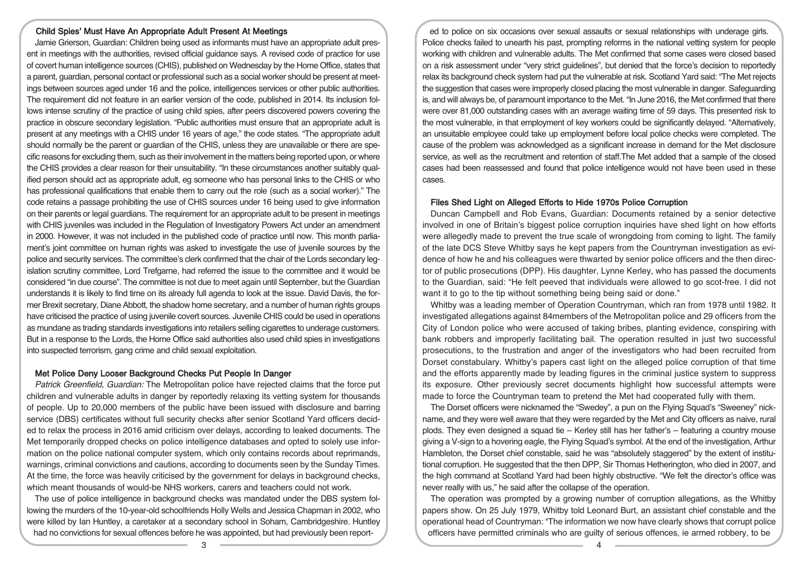# Child Spies' Must Have An Appropriate Adult Present At Meetings

Jamie Grierson, Guardian: Children being used as informants must have an appropriate adult present in meetings with the authorities, revised official guidance says. A revised code of practice for use of covert human intelligence sources (CHIS), published on Wednesday by the Home Office, states that a parent, guardian, personal contact or professional such as a social worker should be present at meetings between sources aged under 16 and the police, intelligences services or other public authorities. The requirement did not feature in an earlier version of the code, published in 2014. Its inclusion follows intense scrutiny of the practice of using child spies, after peers discovered powers covering the practice in obscure secondary legislation. "Public authorities must ensure that an appropriate adult is present at any meetings with a CHIS under 16 years of age," the code states. "The appropriate adult should normally be the parent or guardian of the CHIS, unless they are unavailable or there are specific reasons for excluding them, such as their involvement in the matters being reported upon, or where the CHIS provides a clear reason for their unsuitability. "In these circumstances another suitably qualified person should act as appropriate adult, eg someone who has personal links to the CHIS or who has professional qualifications that enable them to carry out the role (such as a social worker)." The code retains a passage prohibiting the use of CHIS sources under 16 being used to give information on their parents or legal guardians. The requirement for an appropriate adult to be present in meetings with CHIS juveniles was included in the Regulation of Investigatory Powers Act under an amendment in 2000. However, it was not included in the published code of practice until now. This month parliament's joint committee on human rights was asked to investigate the use of juvenile sources by the police and security services. The committee's clerk confirmed that the chair of the Lords secondary legislation scrutiny committee, Lord Trefgarne, had referred the issue to the committee and it would be considered "in due course". The committee is not due to meet again until September, but the Guardian understands it is likely to find time on its already full agenda to look at the issue. David Davis, the former Brexit secretary, Diane Abbott, the shadow home secretary, and a number of human rights groups have criticised the practice of using juvenile covert sources. Juvenile CHIS could be used in operations as mundane as trading standards investigations into retailers selling cigarettes to underage customers. But in a response to the Lords, the Home Office said authorities also used child spies in investigations into suspected terrorism, gang crime and child sexual exploitation.

# Met Police Deny Looser Background Checks Put People In Danger

Patrick Greenfield, Guardian: The Metropolitan police have rejected claims that the force put children and vulnerable adults in danger by reportedly relaxing its vetting system for thousands of people. Up to 20,000 members of the public have been issued with disclosure and barring service (DBS) certificates without full security checks after senior Scotland Yard officers decided to relax the process in 2016 amid criticism over delays, according to leaked documents. The Met temporarily dropped checks on police intelligence databases and opted to solely use information on the police national computer system, which only contains records about reprimands, warnings, criminal convictions and cautions, according to documents seen by the Sunday Times. At the time, the force was heavily criticised by the government for delays in background checks, which meant thousands of would-be NHS workers, carers and teachers could not work.

The use of police intelligence in background checks was mandated under the DBS system following the murders of the 10-year-old schoolfriends Holly Wells and Jessica Chapman in 2002, who were killed by Ian Huntley, a caretaker at a secondary school in Soham, Cambridgeshire. Huntley had no convictions for sexual offences before he was appointed, but had previously been report-

ed to police on six occasions over sexual assaults or sexual relationships with underage girls. Police checks failed to unearth his past, prompting reforms in the national vetting system for people working with children and vulnerable adults. The Met confirmed that some cases were closed based on a risk assessment under "very strict guidelines", but denied that the force's decision to reportedly relax its background check system had put the vulnerable at risk. Scotland Yard said: "The Met rejects the suggestion that cases were improperly closed placing the most vulnerable in danger. Safeguarding is, and will always be, of paramount importance to the Met. "In June 2016, the Met confirmed that there were over 81,000 outstanding cases with an average waiting time of 59 days. This presented risk to the most vulnerable, in that employment of key workers could be significantly delayed. "Alternatively, an unsuitable employee could take up employment before local police checks were completed. The cause of the problem was acknowledged as a significant increase in demand for the Met disclosure service, as well as the recruitment and retention of staff.The Met added that a sample of the closed cases had been reassessed and found that police intelligence would not have been used in these cases.

#### Files Shed Light on Alleged Efforts to Hide 1970s Police Corruption

Duncan Campbell and Rob Evans, Guardian: Documents retained by a senior detective involved in one of Britain's biggest police corruption inquiries have shed light on how efforts were allegedly made to prevent the true scale of wrongdoing from coming to light. The family of the late DCS Steve Whitby says he kept papers from the Countryman investigation as evidence of how he and his colleagues were thwarted by senior police officers and the then director of public prosecutions (DPP). His daughter, Lynne Kerley, who has passed the documents to the Guardian, said: "He felt peeved that individuals were allowed to go scot-free. I did not want it to go to the tip without something being being said or done."

Whitby was a leading member of Operation Countryman, which ran from 1978 until 1982. It investigated allegations against 84members of the Metropolitan police and 29 officers from the City of London police who were accused of taking bribes, planting evidence, conspiring with bank robbers and improperly facilitating bail. The operation resulted in just two successful prosecutions, to the frustration and anger of the investigators who had been recruited from Dorset constabulary. Whitby's papers cast light on the alleged police corruption of that time and the efforts apparently made by leading figures in the criminal justice system to suppress its exposure. Other previously secret documents highlight how successful attempts were made to force the Countryman team to pretend the Met had cooperated fully with them.

The Dorset officers were nicknamed the "Swedey", a pun on the Flying Squad's "Sweeney" nickname, and they were well aware that they were regarded by the Met and City officers as naive, rural plods. They even designed a squad tie – Kerley still has her father's – featuring a country mouse giving a V-sign to a hovering eagle, the Flying Squad's symbol. At the end of the investigation, Arthur Hambleton, the Dorset chief constable, said he was "absolutely staggered" by the extent of institutional corruption. He suggested that the then DPP, Sir Thomas Hetherington, who died in 2007, and the high command at Scotland Yard had been highly obstructive. "We felt the director's office was never really with us," he said after the collapse of the operation.

The operation was prompted by a growing number of corruption allegations, as the Whitby papers show. On 25 July 1979, Whitby told Leonard Burt, an assistant chief constable and the operational head of Countryman: "The information we now have clearly shows that corrupt police officers have permitted criminals who are guilty of serious offences, ie armed robbery, to be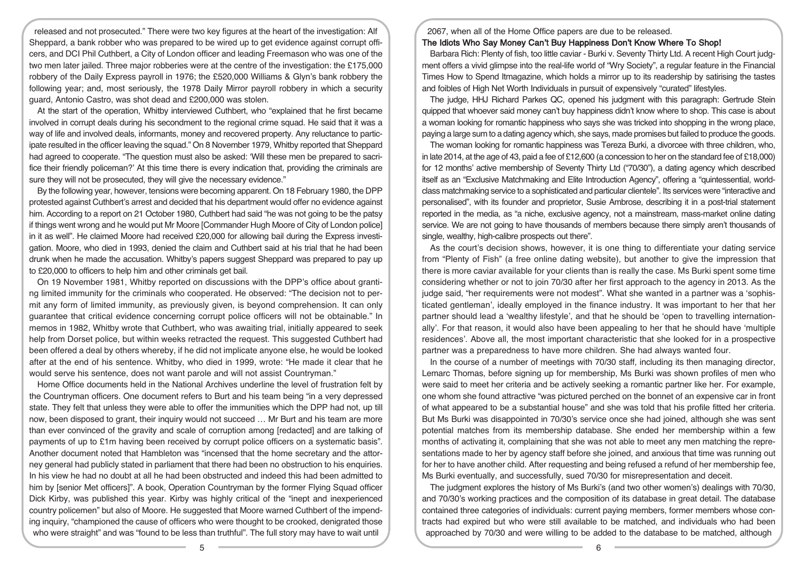released and not prosecuted." There were two key figures at the heart of the investigation: Alf Sheppard, a bank robber who was prepared to be wired up to get evidence against corrupt officers, and DCI Phil Cuthbert, a City of London officer and leading Freemason who was one of the two men later jailed. Three major robberies were at the centre of the investigation: the £175,000 robbery of the Daily Express payroll in 1976; the £520,000 Williams & Glyn's bank robbery the following year; and, most seriously, the 1978 Daily Mirror payroll robbery in which a security guard, Antonio Castro, was shot dead and £200,000 was stolen.

At the start of the operation, Whitby interviewed Cuthbert, who "explained that he first became involved in corrupt deals during his secondment to the regional crime squad. He said that it was a way of life and involved deals, informants, money and recovered property. Any reluctance to participate resulted in the officer leaving the squad." On 8 November 1979, Whitby reported that Sheppard had agreed to cooperate. "The question must also be asked: 'Will these men be prepared to sacrifice their friendly policeman?' At this time there is every indication that, providing the criminals are sure they will not be prosecuted, they will give the necessary evidence."

By the following year, however, tensions were becoming apparent. On 18 February 1980, the DPP protested against Cuthbert's arrest and decided that his department would offer no evidence against him. According to a report on 21 October 1980, Cuthbert had said "he was not going to be the patsy if things went wrong and he would put Mr Moore [Commander Hugh Moore of City of London police] in it as well". He claimed Moore had received £20,000 for allowing bail during the Express investigation. Moore, who died in 1993, denied the claim and Cuthbert said at his trial that he had been drunk when he made the accusation. Whitby's papers suggest Sheppard was prepared to pay up to £20,000 to officers to help him and other criminals get bail.

On 19 November 1981, Whitby reported on discussions with the DPP's office about granting limited immunity for the criminals who cooperated. He observed: "The decision not to permit any form of limited immunity, as previously given, is beyond comprehension. It can only guarantee that critical evidence concerning corrupt police officers will not be obtainable." In memos in 1982, Whitby wrote that Cuthbert, who was awaiting trial, initially appeared to seek help from Dorset police, but within weeks retracted the request. This suggested Cuthbert had been offered a deal by others whereby, if he did not implicate anyone else, he would be looked after at the end of his sentence. Whitby, who died in 1999, wrote: "He made it clear that he would serve his sentence, does not want parole and will not assist Countryman."

Home Office documents held in the National Archives underline the level of frustration felt by the Countryman officers. One document refers to Burt and his team being "in a very depressed state. They felt that unless they were able to offer the immunities which the DPP had not, up till now, been disposed to grant, their inquiry would not succeed … Mr Burt and his team are more than ever convinced of the gravity and scale of corruption among [redacted] and are talking of payments of up to £1m having been received by corrupt police officers on a systematic basis". Another document noted that Hambleton was "incensed that the home secretary and the attorney general had publicly stated in parliament that there had been no obstruction to his enquiries. In his view he had no doubt at all he had been obstructed and indeed this had been admitted to him by [senior Met officers]". A book, Operation Countryman by the former Flying Squad officer Dick Kirby, was published this year. Kirby was highly critical of the "inept and inexperienced country policemen" but also of Moore. He suggested that Moore warned Cuthbert of the impending inquiry, "championed the cause of officers who were thought to be crooked, denigrated those who were straight" and was "found to be less than truthful". The full story may have to wait until

2067, when all of the Home Office papers are due to be released.

#### The Idiots Who Say Money Can't Buy Happiness Don't Know Where To Shop!

Barbara Rich: Plenty of fish, too little caviar - Burki v. Seventy Thirty Ltd. A recent High Court judgment offers a vivid glimpse into the real-life world of "Wry Society", a regular feature in the Financial Times How to Spend Itmagazine, which holds a mirror up to its readership by satirising the tastes and foibles of High Net Worth Individuals in pursuit of expensively "curated" lifestyles.

The judge, HHJ Richard Parkes QC, opened his judgment with this paragraph: Gertrude Stein quipped that whoever said money can't buy happiness didn't know where to shop. This case is about a woman looking for romantic happiness who says she was tricked into shopping in the wrong place, paying a large sum to a dating agency which, she says, made promises but failed to produce the goods.

The woman looking for romantic happiness was Tereza Burki, a divorcee with three children, who, in late 2014, at the age of 43, paid a fee of £12,600 (a concession to her on the standard fee of £18,000) for 12 months' active membership of Seventy Thirty Ltd ("70/30"), a dating agency which described itself as an "Exclusive Matchmaking and Elite Introduction Agency", offering a "quintessential, worldclass matchmaking service to a sophisticated and particular clientele". Its services were "interactive and personalised", with its founder and proprietor, Susie Ambrose, describing it in a post-trial statement reported in the media, as "a niche, exclusive agency, not a mainstream, mass-market online dating service. We are not going to have thousands of members because there simply aren't thousands of single, wealthy, high-calibre prospects out there".

As the court's decision shows, however, it is one thing to differentiate your dating service from "Plenty of Fish" (a free online dating website), but another to give the impression that there is more caviar available for your clients than is really the case. Ms Burki spent some time considering whether or not to join 70/30 after her first approach to the agency in 2013. As the judge said, "her requirements were not modest". What she wanted in a partner was a 'sophisticated gentleman', ideally employed in the finance industry. It was important to her that her partner should lead a 'wealthy lifestyle', and that he should be 'open to travelling internationally'. For that reason, it would also have been appealing to her that he should have 'multiple residences'. Above all, the most important characteristic that she looked for in a prospective partner was a preparedness to have more children. She had always wanted four.

In the course of a number of meetings with 70/30 staff, including its then managing director, Lemarc Thomas, before signing up for membership, Ms Burki was shown profiles of men who were said to meet her criteria and be actively seeking a romantic partner like her. For example, one whom she found attractive "was pictured perched on the bonnet of an expensive car in front of what appeared to be a substantial house" and she was told that his profile fitted her criteria. But Ms Burki was disappointed in 70/30's service once she had joined, although she was sent potential matches from its membership database. She ended her membership within a few months of activating it, complaining that she was not able to meet any men matching the representations made to her by agency staff before she joined, and anxious that time was running out for her to have another child. After requesting and being refused a refund of her membership fee, Ms Burki eventually, and successfully, sued 70/30 for misrepresentation and deceit.

The judgment explores the history of Ms Burki's (and two other women's) dealings with 70/30, and 70/30's working practices and the composition of its database in great detail. The database contained three categories of individuals: current paying members, former members whose contracts had expired but who were still available to be matched, and individuals who had been approached by 70/30 and were willing to be added to the database to be matched, although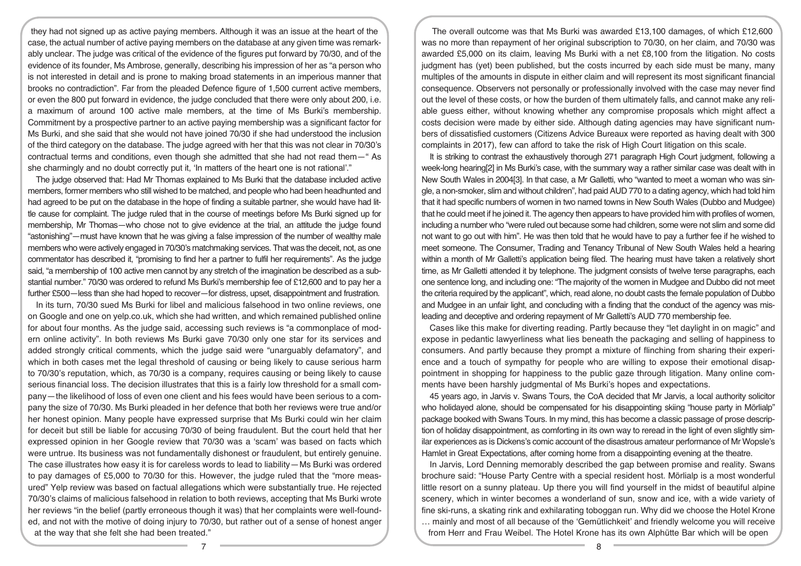they had not signed up as active paying members. Although it was an issue at the heart of the case, the actual number of active paying members on the database at any given time was remarkably unclear. The judge was critical of the evidence of the figures put forward by 70/30, and of the evidence of its founder, Ms Ambrose, generally, describing his impression of her as "a person who is not interested in detail and is prone to making broad statements in an imperious manner that brooks no contradiction". Far from the pleaded Defence figure of 1,500 current active members, or even the 800 put forward in evidence, the judge concluded that there were only about 200, i.e. a maximum of around 100 active male members, at the time of Ms Burki's membership. Commitment by a prospective partner to an active paying membership was a significant factor for Ms Burki, and she said that she would not have joined 70/30 if she had understood the inclusion of the third category on the database. The judge agreed with her that this was not clear in 70/30's contractual terms and conditions, even though she admitted that she had not read them—" As she charmingly and no doubt correctly put it, 'In matters of the heart one is not rational'."

The judge observed that: Had Mr Thomas explained to Ms Burki that the database included active members, former members who still wished to be matched, and people who had been headhunted and had agreed to be put on the database in the hope of finding a suitable partner, she would have had little cause for complaint. The judge ruled that in the course of meetings before Ms Burki signed up for membership, Mr Thomas—who chose not to give evidence at the trial, an attitude the judge found "astonishing"—must have known that he was giving a false impression of the number of wealthy male members who were actively engaged in 70/30's matchmaking services. That was the deceit, not, as one commentator has described it, "promising to find her a partner to fulfil her requirements". As the judge said, "a membership of 100 active men cannot by any stretch of the imagination be described as a substantial number." 70/30 was ordered to refund Ms Burki's membership fee of £12,600 and to pay her a further £500—less than she had hoped to recover—for distress, upset, disappointment and frustration.

In its turn, 70/30 sued Ms Burki for libel and malicious falsehood in two online reviews, one on Google and one on yelp.co.uk, which she had written, and which remained published online for about four months. As the judge said, accessing such reviews is "a commonplace of modern online activity". In both reviews Ms Burki gave 70/30 only one star for its services and added strongly critical comments, which the judge said were "unarguably defamatory", and which in both cases met the legal threshold of causing or being likely to cause serious harm to 70/30's reputation, which, as 70/30 is a company, requires causing or being likely to cause serious financial loss. The decision illustrates that this is a fairly low threshold for a small company—the likelihood of loss of even one client and his fees would have been serious to a company the size of 70/30. Ms Burki pleaded in her defence that both her reviews were true and/or her honest opinion. Many people have expressed surprise that Ms Burki could win her claim for deceit but still be liable for accusing 70/30 of being fraudulent. But the court held that her expressed opinion in her Google review that 70/30 was a 'scam' was based on facts which were untrue. Its business was not fundamentally dishonest or fraudulent, but entirely genuine. The case illustrates how easy it is for careless words to lead to liability—Ms Burki was ordered to pay damages of £5,000 to 70/30 for this. However, the judge ruled that the "more measured" Yelp review was based on factual allegations which were substantially true. He rejected 70/30's claims of malicious falsehood in relation to both reviews, accepting that Ms Burki wrote her reviews "in the belief (partly erroneous though it was) that her complaints were well-founded, and not with the motive of doing injury to 70/30, but rather out of a sense of honest anger at the way that she felt she had been treated."

The overall outcome was that Ms Burki was awarded £13,100 damages, of which £12,600 was no more than repayment of her original subscription to 70/30, on her claim, and 70/30 was awarded £5,000 on its claim, leaving Ms Burki with a net £8,100 from the litigation. No costs judgment has (yet) been published, but the costs incurred by each side must be many, many multiples of the amounts in dispute in either claim and will represent its most significant financial consequence. Observers not personally or professionally involved with the case may never find out the level of these costs, or how the burden of them ultimately falls, and cannot make any reliable guess either, without knowing whether any compromise proposals which might affect a costs decision were made by either side. Although dating agencies may have significant numbers of dissatisfied customers (Citizens Advice Bureaux were reported as having dealt with 300 complaints in 2017), few can afford to take the risk of High Court litigation on this scale.

It is striking to contrast the exhaustively thorough 271 paragraph High Court judgment, following a week-long hearing[2] in Ms Burki's case, with the summary way a rather similar case was dealt with in New South Wales in 2004[3]. In that case, a Mr Galletti, who "wanted to meet a woman who was single, a non-smoker, slim and without children", had paid AUD 770 to a dating agency, which had told him that it had specific numbers of women in two named towns in New South Wales (Dubbo and Mudgee) that he could meet if he joined it. The agency then appears to have provided him with profiles of women, including a number who "were ruled out because some had children, some were not slim and some did not want to go out with him". He was then told that he would have to pay a further fee if he wished to meet someone. The Consumer, Trading and Tenancy Tribunal of New South Wales held a hearing within a month of Mr Galletti's application being filed. The hearing must have taken a relatively short time, as Mr Galletti attended it by telephone. The judgment consists of twelve terse paragraphs, each one sentence long, and including one: "The majority of the women in Mudgee and Dubbo did not meet the criteria required by the applicant", which, read alone, no doubt casts the female population of Dubbo and Mudgee in an unfair light, and concluding with a finding that the conduct of the agency was misleading and deceptive and ordering repayment of Mr Galletti's AUD 770 membership fee.

Cases like this make for diverting reading. Partly because they "let daylight in on magic" and expose in pedantic lawyerliness what lies beneath the packaging and selling of happiness to consumers. And partly because they prompt a mixture of flinching from sharing their experience and a touch of sympathy for people who are willing to expose their emotional disappointment in shopping for happiness to the public gaze through litigation. Many online comments have been harshly judgmental of Ms Burki's hopes and expectations.

45 years ago, in Jarvis v. Swans Tours, the CoA decided that Mr Jarvis, a local authority solicitor who holidayed alone, should be compensated for his disappointing skiing "house party in Mörlialp" package booked with Swans Tours. In my mind, this has become a classic passage of prose description of holiday disappointment, as comforting in its own way to reread in the light of even slightly similar experiences as is Dickens's comic account of the disastrous amateur performance of Mr Wopsle's Hamlet in Great Expectations, after coming home from a disappointing evening at the theatre.

In Jarvis, Lord Denning memorably described the gap between promise and reality. Swans brochure said: "House Party Centre with a special resident host. Mörlialp is a most wonderful little resort on a sunny plateau. Up there you will find yourself in the midst of beautiful alpine scenery, which in winter becomes a wonderland of sun, snow and ice, with a wide variety of fine ski-runs, a skating rink and exhilarating toboggan run. Why did we choose the Hotel Krone … mainly and most of all because of the 'Gemütlichkeit' and friendly welcome you will receive from Herr and Frau Weibel. The Hotel Krone has its own Alphütte Bar which will be open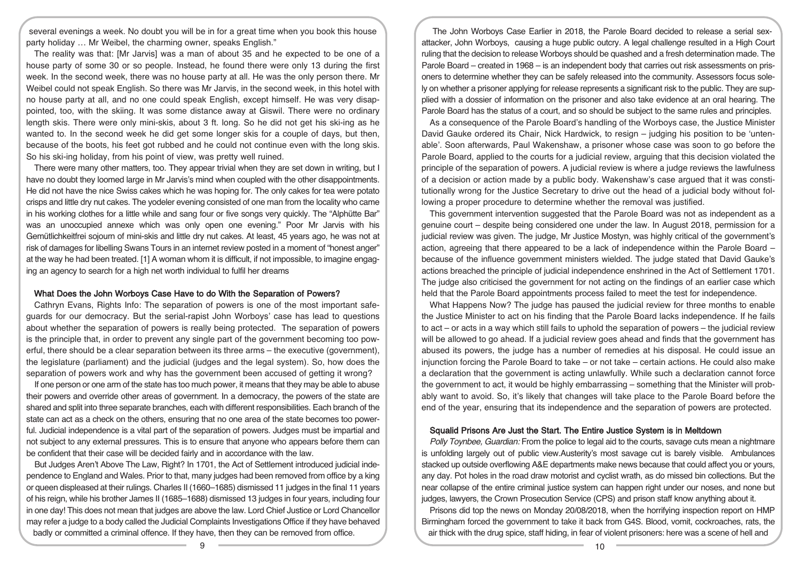several evenings a week. No doubt you will be in for a great time when you book this house party holiday … Mr Weibel, the charming owner, speaks English."

The reality was that: [Mr Jarvis] was a man of about 35 and he expected to be one of a house party of some 30 or so people. Instead, he found there were only 13 during the first week. In the second week, there was no house party at all. He was the only person there. Mr Weibel could not speak English. So there was Mr Jarvis, in the second week, in this hotel with no house party at all, and no one could speak English, except himself. He was very disappointed, too, with the skiing. It was some distance away at Giswil. There were no ordinary length skis. There were only mini-skis, about 3 ft. long. So he did not get his ski-ing as he wanted to. In the second week he did get some longer skis for a couple of days, but then, because of the boots, his feet got rubbed and he could not continue even with the long skis. So his ski-ing holiday, from his point of view, was pretty well ruined.

There were many other matters, too. They appear trivial when they are set down in writing, but I have no doubt they loomed large in Mr Jarvis's mind when coupled with the other disappointments. He did not have the nice Swiss cakes which he was hoping for. The only cakes for tea were potato crisps and little dry nut cakes. The yodeler evening consisted of one man from the locality who came in his working clothes for a little while and sang four or five songs very quickly. The "Alphütte Bar" was an unoccupied annexe which was only open one evening." Poor Mr Jarvis with his Gemütlichkeitfrei sojourn of mini-skis and little dry nut cakes. At least, 45 years ago, he was not at risk of damages for libelling Swans Tours in an internet review posted in a moment of "honest anger" at the way he had been treated. [1] A woman whom it is difficult, if not impossible, to imagine engaging an agency to search for a high net worth individual to fulfil her dreams

#### What Does the John Worboys Case Have to do With the Separation of Powers?

Cathryn Evans, Rights Info: The separation of powers is one of the most important safeguards for our democracy. But the serial-rapist John Worboys' case has lead to questions about whether the separation of powers is really being protected. The separation of powers is the principle that, in order to prevent any single part of the government becoming too powerful, there should be a clear separation between its three arms – the executive (government), the legislature (parliament) and the judicial (judges and the legal system). So, how does the separation of powers work and why has the government been accused of getting it wrong?

If one person or one arm of the state has too much power, it means that they may be able to abuse their powers and override other areas of government. In a democracy, the powers of the state are shared and split into three separate branches, each with different responsibilities. Each branch of the state can act as a check on the others, ensuring that no one area of the state becomes too powerful. Judicial independence is a vital part of the separation of powers. Judges must be impartial and not subject to any external pressures. This is to ensure that anyone who appears before them can be confident that their case will be decided fairly and in accordance with the law.

But Judges Aren't Above The Law, Right? In 1701, the Act of Settlement introduced judicial independence to England and Wales. Prior to that, many judges had been removed from office by a king or queen displeased at their rulings. Charles II (1660–1685) dismissed 11 judges in the final 11 years of his reign, while his brother James II (1685–1688) dismissed 13 judges in four years, including four in one day! This does not mean that judges are above the law. Lord Chief Justice or Lord Chancellor may refer a judge to a body called the Judicial Complaints Investigations Office if they have behaved badly or committed a criminal offence. If they have, then they can be removed from office.

The John Worboys Case Earlier in 2018, the Parole Board decided to release a serial sexattacker, John Worboys, causing a huge public outcry. A legal challenge resulted in a High Court ruling that the decision to release Worboys should be quashed and a fresh determination made. The Parole Board – created in 1968 – is an independent body that carries out risk assessments on prisoners to determine whether they can be safely released into the community. Assessors focus solely on whether a prisoner applying for release represents a significant risk to the public. They are supplied with a dossier of information on the prisoner and also take evidence at an oral hearing. The Parole Board has the status of a court, and so should be subject to the same rules and principles.

As a consequence of the Parole Board's handling of the Worboys case, the Justice Minister David Gauke ordered its Chair, Nick Hardwick, to resign – judging his position to be 'untenable'. Soon afterwards, Paul Wakenshaw, a prisoner whose case was soon to go before the Parole Board, applied to the courts for a judicial review, arguing that this decision violated the principle of the separation of powers. A judicial review is where a judge reviews the lawfulness of a decision or action made by a public body. Wakenshaw's case argued that it was constitutionally wrong for the Justice Secretary to drive out the head of a judicial body without following a proper procedure to determine whether the removal was justified.

This government intervention suggested that the Parole Board was not as independent as a genuine court – despite being considered one under the law. In August 2018, permission for a judicial review was given. The judge, Mr Justice Mostyn, was highly critical of the government's action, agreeing that there appeared to be a lack of independence within the Parole Board – because of the influence government ministers wielded. The judge stated that David Gauke's actions breached the principle of judicial independence enshrined in the Act of Settlement 1701. The judge also criticised the government for not acting on the findings of an earlier case which held that the Parole Board appointments process failed to meet the test for independence.

What Happens Now? The judge has paused the judicial review for three months to enable the Justice Minister to act on his finding that the Parole Board lacks independence. If he fails to act – or acts in a way which still fails to uphold the separation of powers – the judicial review will be allowed to go ahead. If a judicial review goes ahead and finds that the government has abused its powers, the judge has a number of remedies at his disposal. He could issue an injunction forcing the Parole Board to take – or not take – certain actions. He could also make a declaration that the government is acting unlawfully. While such a declaration cannot force the government to act, it would be highly embarrassing – something that the Minister will probably want to avoid. So, it's likely that changes will take place to the Parole Board before the end of the year, ensuring that its independence and the separation of powers are protected.

#### Squalid Prisons Are Just the Start. The Entire Justice System is in Meltdown

Polly Toynbee, Guardian: From the police to legal aid to the courts, savage cuts mean a nightmare is unfolding largely out of public view.Austerity's most savage cut is barely visible. Ambulances stacked up outside overflowing A&E departments make news because that could affect you or yours, any day. Pot holes in the road draw motorist and cyclist wrath, as do missed bin collections. But the near collapse of the entire criminal justice system can happen right under our noses, and none but judges, lawyers, the Crown Prosecution Service (CPS) and prison staff know anything about it.

Prisons did top the news on Monday 20/08/2018, when the horrifying inspection report on HMP Birmingham forced the government to take it back from G4S. Blood, vomit, cockroaches, rats, the air thick with the drug spice, staff hiding, in fear of violent prisoners: here was a scene of hell and